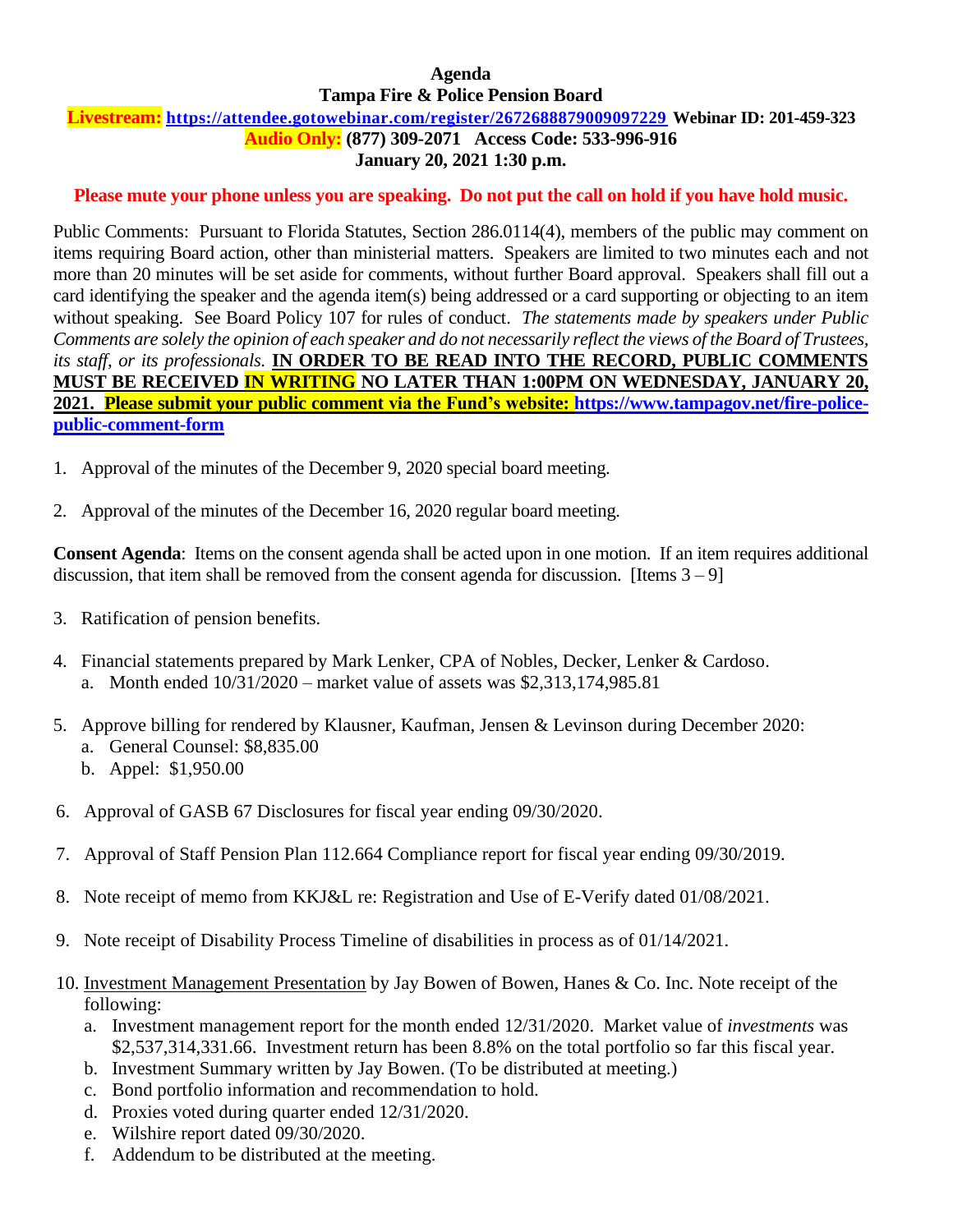# **Agenda Tampa Fire & Police Pension Board**

### **Livestream: <https://attendee.gotowebinar.com/register/2672688879009097229> Webinar ID: 201-459-323 Audio Only: (877) 309-2071 Access Code: 533-996-916 January 20, 2021 1:30 p.m.**

# **Please mute your phone unless you are speaking. Do not put the call on hold if you have hold music.**

Public Comments: Pursuant to Florida Statutes, Section 286.0114(4), members of the public may comment on items requiring Board action, other than ministerial matters. Speakers are limited to two minutes each and not more than 20 minutes will be set aside for comments, without further Board approval. Speakers shall fill out a card identifying the speaker and the agenda item(s) being addressed or a card supporting or objecting to an item without speaking. See Board Policy 107 for rules of conduct. *The statements made by speakers under Public Comments are solely the opinion of each speaker and do not necessarily reflect the views of the Board of Trustees, its staff, or its professionals.* **IN ORDER TO BE READ INTO THE RECORD, PUBLIC COMMENTS MUST BE RECEIVED IN WRITING NO LATER THAN 1:00PM ON WEDNESDAY, JANUARY 20, 2021. Please submit your public comment via the Fund's website: [https://www.tampagov.net/fire-police](https://www.tampagov.net/fire-police-public-comment-form)[public-comment-form](https://www.tampagov.net/fire-police-public-comment-form)**

- 1. Approval of the minutes of the December 9, 2020 special board meeting.
- 2. Approval of the minutes of the December 16, 2020 regular board meeting.

**Consent Agenda**: Items on the consent agenda shall be acted upon in one motion. If an item requires additional discussion, that item shall be removed from the consent agenda for discussion. [Items  $3 - 9$ ]

- 3. Ratification of pension benefits.
- 4. Financial statements prepared by Mark Lenker, CPA of Nobles, Decker, Lenker & Cardoso. a. Month ended 10/31/2020 – market value of assets was \$2,313,174,985.81
- 5. Approve billing for rendered by Klausner, Kaufman, Jensen & Levinson during December 2020: a. General Counsel: \$8,835.00 b. Appel: \$1,950.00
- 6. Approval of GASB 67 Disclosures for fiscal year ending 09/30/2020.
- 7. Approval of Staff Pension Plan 112.664 Compliance report for fiscal year ending 09/30/2019.
- 8. Note receipt of memo from KKJ&L re: Registration and Use of E-Verify dated 01/08/2021.
- 9. Note receipt of Disability Process Timeline of disabilities in process as of 01/14/2021.
- 10. Investment Management Presentation by Jay Bowen of Bowen, Hanes & Co. Inc. Note receipt of the following:
	- a. Investment management report for the month ended 12/31/2020. Market value of *investments* was \$2,537,314,331.66. Investment return has been 8.8% on the total portfolio so far this fiscal year.
	- b. Investment Summary written by Jay Bowen. (To be distributed at meeting.)
	- c. Bond portfolio information and recommendation to hold.
	- d. Proxies voted during quarter ended 12/31/2020.
	- e. Wilshire report dated 09/30/2020.
	- f. Addendum to be distributed at the meeting.